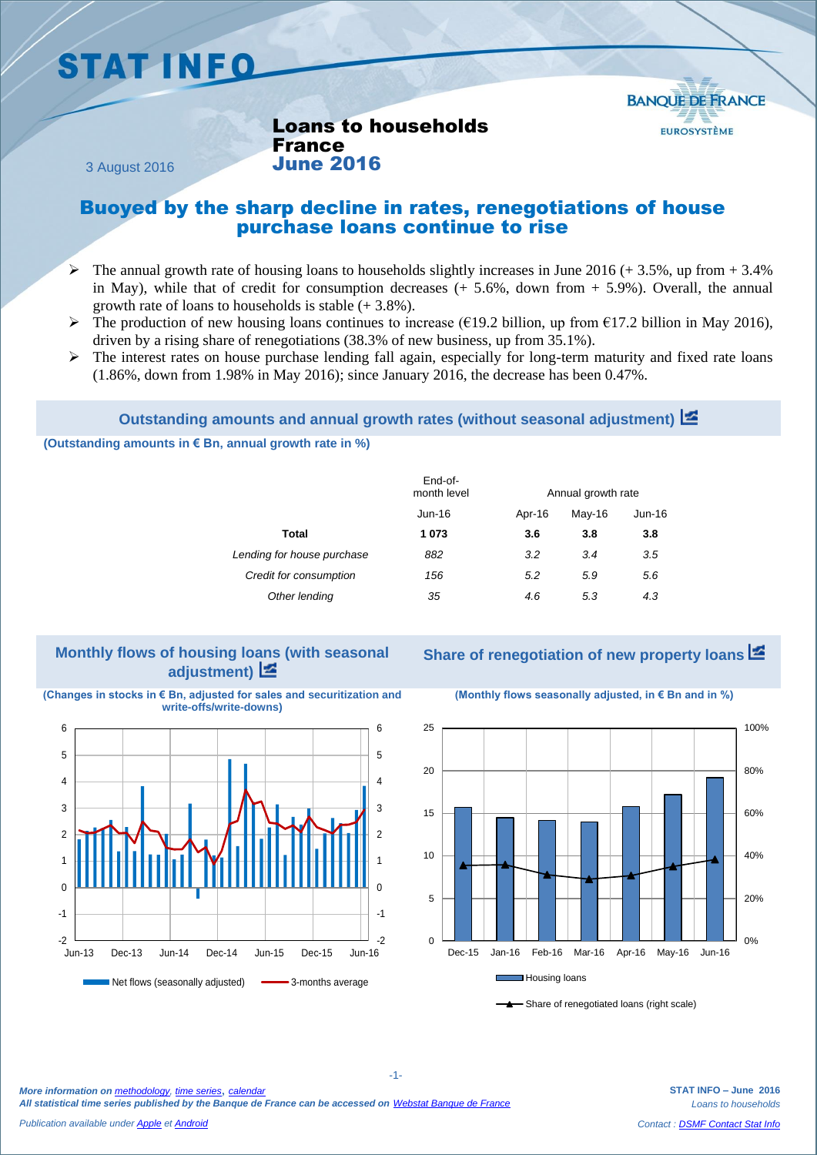# **STAT INFO**



Loans to households France June 2016

3 August 2016

### Buoyed by the sharp decline in rates, renegotiations of house purchase loans continue to rise

- $\triangleright$  The annual growth rate of housing loans to households slightly increases in June 2016 (+ 3.5%, up from + 3.4%) in May), while that of credit for consumption decreases  $(+ 5.6\%$ , down from  $+ 5.9\%$ ). Overall, the annual growth rate of loans to households is stable  $(+3.8\%)$ .
- The production of new housing loans continues to increase ( $\epsilon$ 19.2 billion, up from  $\epsilon$ 17.2 billion in May 2016), driven by a rising share of renegotiations (38.3% of new business, up from 35.1%).
- $\triangleright$  The interest rates on house purchase lending fall again, especially for long-term maturity and fixed rate loans (1.86%, down from 1.98% in May 2016); since January 2016, the decrease has been 0.47%.

#### **Outstanding amounts and annual growth rates (without seasonal adjustment)**

**(Outstanding amounts in € Bn, annual growth rate in %)**

|                            | End-of-<br>month level | Annual growth rate |        |        |  |  |
|----------------------------|------------------------|--------------------|--------|--------|--|--|
|                            | Jun-16                 | Apr-16             | May-16 | Jun-16 |  |  |
| Total                      | 1073                   | 3.6                | 3.8    | 3.8    |  |  |
| Lending for house purchase | 882                    | 3.2                | 3.4    | 3.5    |  |  |
| Credit for consumption     | 156                    | 5.2                | 5.9    | 5.6    |  |  |
| Other lending              | 35                     | 4.6                | 5.3    | 4.3    |  |  |
|                            |                        |                    |        |        |  |  |

#### **Monthly flows of housing loans (with seasonal adjustment)**

**Share of renegotiation of new property loans**

**(Changes in stocks in € Bn, adjusted for sales and securitization and write-offs/write-downs)**



**(Monthly flows seasonally adjusted, in € Bn and in %)**



- Share of renegotiated loans (right scale)

*More information on [methodology,](https://www.banque-france.fr/en/economics-statistics/database/methodology.html) [time series](http://webstat.banque-france.fr/en/browse.do?node=5384775)*, *[calendar](https://www.banque-france.fr/en/economics-statistics/calendar.html) All statistical time series published by the Banque de France can be accessed on [Webstat Banque de France](http://webstat.banque-france.fr/en/)*

**STAT INFO – June 2016** *Loans to households Contact : [DSMF Contact Stat Info](mailto:1415-CONTACTSI-UT@banque-france.fr?subject=[statistic%20support]%20Credits%20aux%20particuliers)*